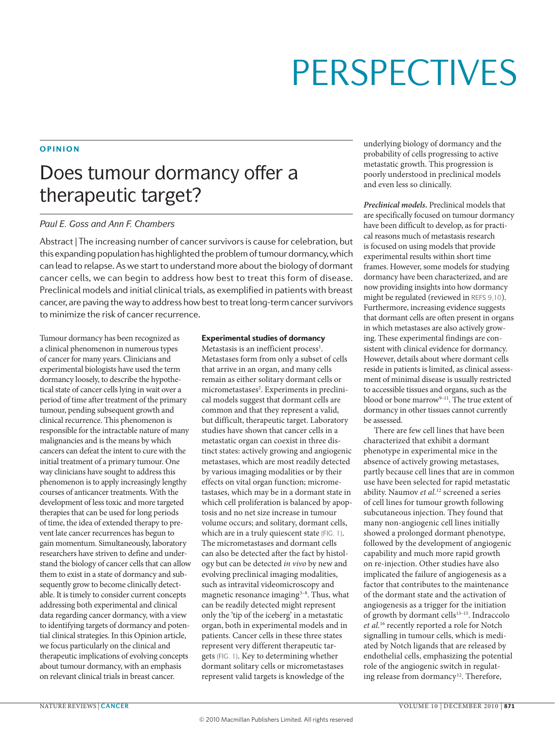### opinion

## Does tumour dormancy offer a therapeutic target?

### *Paul E. Goss and Ann F. Chambers*

Abstract | The increasing number of cancer survivors is cause for celebration, but this expanding population has highlighted the problem of tumour dormancy, which can lead to relapse. As we start to understand more about the biology of dormant cancer cells, we can begin to address how best to treat this form of disease. Preclinical models and initial clinical trials, as exemplified in patients with breast cancer, are paving the way to address how best to treat long-term cancer survivors to minimize the risk of cancer recurrence.

Tumour dormancy has been recognized as a clinical phenomenon in numerous types of cancer for many years. Clinicians and experimental biologists have used the term dormancy loosely, to describe the hypothetical state of cancer cells lying in wait over a period of time after treatment of the primary tumour, pending subsequent growth and clinical recurrence. This phenomenon is responsible for the intractable nature of many malignancies and is the means by which cancers can defeat the intent to cure with the initial treatment of a primary tumour. One way clinicians have sought to address this phenomenon is to apply increasingly lengthy courses of anticancer treatments. With the development of less toxic and more targeted therapies that can be used for long periods of time, the idea of extended therapy to prevent late cancer recurrences has begun to gain momentum. Simultaneously, laboratory researchers have striven to define and understand the biology of cancer cells that can allow them to exist in a state of dormancy and subsequently grow to become clinically detectable. It is timely to consider current concepts addressing both experimental and clinical data regarding cancer dormancy, with a view to identifying targets of dormancy and potential clinical strategies. In this Opinion article, we focus particularly on the clinical and therapeutic implications of evolving concepts about tumour dormancy, with an emphasis on relevant clinical trials in breast cancer.

### Experimental studies of dormancy

Metastasis is an inefficient process<sup>1</sup>. Metastases form from only a subset of cells that arrive in an organ, and many cells remain as either solitary dormant cells or micrometastases<sup>2</sup>. Experiments in preclinical models suggest that dormant cells are common and that they represent a valid, but difficult, therapeutic target. Laboratory studies have shown that cancer cells in a metastatic organ can coexist in three distinct states: actively growing and angiogenic metastases, which are most readily detected by various imaging modalities or by their effects on vital organ function; micrometastases, which may be in a dormant state in which cell proliferation is balanced by apoptosis and no net size increase in tumour volume occurs; and solitary, dormant cells, which are in a truly quiescent state (FIG. 1). The micrometastases and dormant cells can also be detected after the fact by histology but can be detected *in vivo* by new and evolving preclinical imaging modalities, such as intravital videomicroscopy and magnetic resonance imaging<sup>3-8</sup>. Thus, what can be readily detected might represent only the 'tip of the iceberg' in a metastatic organ, both in experimental models and in patients. Cancer cells in these three states represent very different therapeutic targets (FIG. 1). Key to determining whether dormant solitary cells or micrometastases represent valid targets is knowledge of the

underlying biology of dormancy and the probability of cells progressing to active metastatic growth. This progression is poorly understood in preclinical models and even less so clinically.

*Preclinical models.* Preclinical models that are specifically focused on tumour dormancy have been difficult to develop, as for practical reasons much of metastasis research is focused on using models that provide experimental results within short time frames. However, some models for studying dormancy have been characterized, and are now providing insights into how dormancy might be regulated (reviewed in ReFs 9,10). Furthermore, increasing evidence suggests that dormant cells are often present in organs in which metastases are also actively growing. These experimental findings are consistent with clinical evidence for dormancy. However, details about where dormant cells reside in patients is limited, as clinical assessment of minimal disease is usually restricted to accessible tissues and organs, such as the blood or bone marrow<sup>9-11</sup>. The true extent of dormancy in other tissues cannot currently be assessed.

There are few cell lines that have been characterized that exhibit a dormant phenotype in experimental mice in the absence of actively growing metastases, partly because cell lines that are in common use have been selected for rapid metastatic ability. Naumov *et al.*12 screened a series of cell lines for tumour growth following subcutaneous injection. They found that many non-angiogenic cell lines initially showed a prolonged dormant phenotype, followed by the development of angiogenic capability and much more rapid growth on re-injection. Other studies have also implicated the failure of angiogenesis as a factor that contributes to the maintenance of the dormant state and the activation of angiogenesis as a trigger for the initiation of growth by dormant cells<sup>13-15</sup>. Indraccolo *et al.*16 recently reported a role for Notch signalling in tumour cells, which is mediated by Notch ligands that are released by endothelial cells, emphasizing the potential role of the angiogenic switch in regulating release from dormancy<sup>12</sup>. Therefore,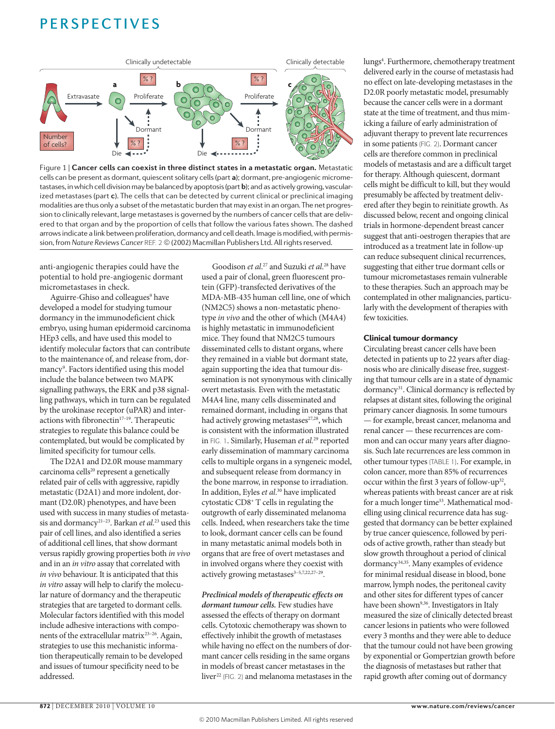

**Nature Reviews** | **Cancer** cells can be present as dormant, quiescent solitary cells (part **a**); dormant, pre-angiogenic microme-Figure 1 | **Cancer cells can coexist in three distinct states in a metastatic organ.** Metastatic tastases, in which cell division may be balanced by apoptosis (part **b**); and as actively growing, vascularized metastases (part **c**). The cells that can be detected by current clinical or preclinical imaging modalities are thus only a subset of the metastatic burden that may exist in an organ. The net progression to clinically relevant, large metastases is governed by the numbers of cancer cells that are delivered to that organ and by the proportion of cells that follow the various fates shown. The dashed arrows indicate a link between proliferation, dormancy and cell death. image is modified, with permission, from *Nature ReviewsCancer* ReF. 2 © (2002) Macmillan Publishers Ltd. All rights reserved.

anti-angiogenic therapies could have the potential to hold pre-angiogenic dormant micrometastases in check.

Aguirre-Ghiso and colleagues<sup>9</sup> have developed a model for studying tumour dormancy in the immunodeficient chick embryo, using human epidermoid carcinoma HEp3 cells, and have used this model to identify molecular factors that can contribute to the maintenance of, and release from, dormancy<sup>9</sup>. Factors identified using this model include the balance between two MaPK signalling pathways, the ErK and p38 signalling pathways, which in turn can be regulated by the urokinase receptor (uPAR) and interactions with fibronectin<sup>17-19</sup>. Therapeutic strategies to regulate this balance could be contemplated, but would be complicated by limited specificity for tumour cells.

The D2A1 and D2.0R mouse mammary carcinoma cells<sup>20</sup> represent a genetically related pair of cells with aggressive, rapidly metastatic (D2A1) and more indolent, dormant (D2.0R) phenotypes, and have been used with success in many studies of metastasis and dormancy21–23. barkan *et al.*23 used this pair of cell lines, and also identified a series of additional cell lines, that show dormant versus rapidly growing properties both *in vivo* and in an *in vitro* assay that correlated with *in vivo* behaviour. It is anticipated that this *in vitro* assay will help to clarify the molecular nature of dormancy and the therapeutic strategies that are targeted to dormant cells. Molecular factors identified with this model include adhesive interactions with components of the extracellular matrix<sup>23-26</sup>. Again, strategies to use this mechanistic information therapeutically remain to be developed and issues of tumour specificity need to be addressed.

Goodison *et al*. 27 and Suzuki *et al*. 28 have used a pair of clonal, green fluorescent protein (GFP)-transfected derivatives of the MDA-MB-435 human cell line, one of which (NM2C5) shows a non-metastatic phenotype *in vivo* and the other of which (M4a4) is highly metastatic in immunodeficient mice. They found that NM2C5 tumours disseminated cells to distant organs, where they remained in a viable but dormant state, again supporting the idea that tumour dissemination is not synonymous with clinically overt metastasis. Even with the metastatic M4a4 line, many cells disseminated and remained dormant, including in organs that had actively growing metastases<sup>27,28</sup>, which is consistent with the information illustrated in FIG. 1. Similarly, Huseman *et al.*29 reported early dissemination of mammary carcinoma cells to multiple organs in a syngeneic model, and subsequent release from dormancy in the bone marrow, in response to irradiation. In addition, Eyles *et al*. 30 have implicated cytostatic CD8<sup>+</sup> T cells in regulating the outgrowth of early disseminated melanoma cells. Indeed, when researchers take the time to look, dormant cancer cells can be found in many metastatic animal models both in organs that are free of overt metastases and in involved organs where they coexist with actively growing metastases $3-5,7,22,27-29$ .

*Preclinical models of therapeutic effects on dormant tumour cells.* Few studies have assessed the effects of therapy on dormant cells. Cytotoxic chemotherapy was shown to effectively inhibit the growth of metastases while having no effect on the numbers of dormant cancer cells residing in the same organs in models of breast cancer metastases in the liver<sup>22</sup> (FIG. 2) and melanoma metastases in the

lungs4 . Furthermore, chemotherapy treatment delivered early in the course of metastasis had no effect on late-developing metastases in the D2.0R poorly metastatic model, presumably because the cancer cells were in a dormant state at the time of treatment, and thus mimicking a failure of early administration of adjuvant therapy to prevent late recurrences in some patients (FIG. 2). Dormant cancer cells are therefore common in preclinical models of metastasis and are a difficult target for therapy. Although quiescent, dormant cells might be difficult to kill, but they would presumably be affected by treatment delivered after they begin to reinitiate growth. As discussed below, recent and ongoing clinical trials in hormone-dependent breast cancer suggest that anti-oestrogen therapies that are introduced as a treatment late in follow-up can reduce subsequent clinical recurrences, suggesting that either true dormant cells or tumour micrometastases remain vulnerable to these therapies. Such an approach may be contemplated in other malignancies, particularly with the development of therapies with few toxicities.

### Clinical tumour dormancy

Circulating breast cancer cells have been detected in patients up to 22 years after diagnosis who are clinically disease free, suggesting that tumour cells are in a state of dynamic dormancy<sup>31</sup>. Clinical dormancy is reflected by relapses at distant sites, following the original primary cancer diagnosis. In some tumours — for example, breast cancer, melanoma and renal cancer — these recurrences are common and can occur many years after diagnosis. Such late recurrences are less common in other tumour types (TABLe 1). For example, in colon cancer, more than 85% of recurrences occur within the first 3 years of follow-up<sup>32</sup>, whereas patients with breast cancer are at risk for a much longer time<sup>33</sup>. Mathematical modelling using clinical recurrence data has suggested that dormancy can be better explained by true cancer quiescence, followed by periods of active growth, rather than steady but slow growth throughout a period of clinical dormancy<sup>34,35</sup>. Many examples of evidence for minimal residual disease in blood, bone marrow, lymph nodes, the peritoneal cavity and other sites for different types of cancer have been shown<sup>9,36</sup>. Investigators in Italy measured the size of clinically detected breast cancer lesions in patients who were followed every 3 months and they were able to deduce that the tumour could not have been growing by exponential or Gompertzian growth before the diagnosis of metastases but rather that rapid growth after coming out of dormancy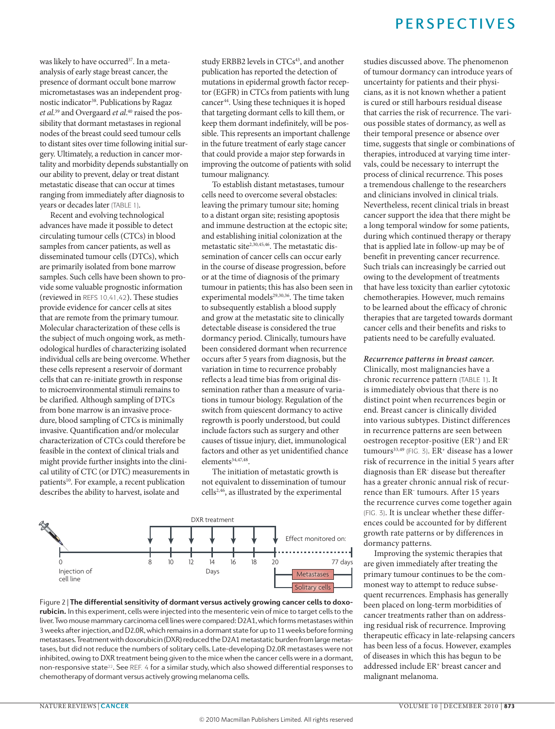### **PFRSPFCTIVES**

was likely to have occurred<sup>37</sup>. In a metaanalysis of early stage breast cancer, the presence of dormant occult bone marrow micrometastases was an independent prognostic indicator<sup>38</sup>. Publications by Ragaz *et al*. 39 and Overgaard *et al*. 40 raised the possibility that dormant metastases in regional nodes of the breast could seed tumour cells to distant sites over time following initial surgery. Ultimately, a reduction in cancer mortality and morbidity depends substantially on our ability to prevent, delay or treat distant metastatic disease that can occur at times ranging from immediately after diagnosis to years or decades later (TABLe 1).

Recent and evolving technological advances have made it possible to detect circulating tumour cells (CTCs) in blood samples from cancer patients, as well as disseminated tumour cells (DTCs), which are primarily isolated from bone marrow samples. Such cells have been shown to provide some valuable prognostic information (reviewed in ReFs 10,41,42). These studies provide evidence for cancer cells at sites that are remote from the primary tumour. Molecular characterization of these cells is the subject of much ongoing work, as methodological hurdles of characterizing isolated individual cells are being overcome. Whether these cells represent a reservoir of dormant cells that can re-initiate growth in response to microenvironmental stimuli remains to be clarified. Although sampling of DTCs from bone marrow is an invasive procedure, blood sampling of CTCs is minimally invasive. Quantification and/or molecular characterization of CTCs could therefore be feasible in the context of clinical trials and might provide further insights into the clinical utility of CTC (or DTC) measurements in patients<sup>10</sup>. For example, a recent publication describes the ability to harvest, isolate and

study ERBB2 levels in CTCs<sup>43</sup>, and another publication has reported the detection of mutations in epidermal growth factor receptor (EGFR) in CTCs from patients with lung cancer<sup>44</sup>. Using these techniques it is hoped that targeting dormant cells to kill them, or keep them dormant indefinitely, will be possible. This represents an important challenge in the future treatment of early stage cancer that could provide a major step forwards in improving the outcome of patients with solid tumour malignancy.

To establish distant metastases, tumour cells need to overcome several obstacles: leaving the primary tumour site; homing to a distant organ site; resisting apoptosis and immune destruction at the ectopic site; and establishing initial colonization at the metastatic site2,30,45,46. The metastatic dissemination of cancer cells can occur early in the course of disease progression, before or at the time of diagnosis of the primary tumour in patients; this has also been seen in experimental models<sup>29,30,36</sup>. The time taken to subsequently establish a blood supply and grow at the metastatic site to clinically detectable disease is considered the true dormancy period. Clinically, tumours have been considered dormant when recurrence occurs after 5 years from diagnosis, but the variation in time to recurrence probably reflects a lead time bias from original dissemination rather than a measure of variations in tumour biology. Regulation of the switch from quiescent dormancy to active regrowth is poorly understood, but could include factors such as surgery and other causes of tissue injury, diet, immunological factors and other as yet unidentified chance elements<sup>34,47,48</sup>.

The initiation of metastatic growth is not equivalent to dissemination of tumour cells2,46, as illustrated by the experimental





studies discussed above. The phenomenon of tumour dormancy can introduce years of uncertainty for patients and their physicians, as it is not known whether a patient is cured or still harbours residual disease that carries the risk of recurrence. The various possible states of dormancy, as well as their temporal presence or absence over time, suggests that single or combinations of therapies, introduced at varying time intervals, could be necessary to interrupt the process of clinical recurrence. This poses a tremendous challenge to the researchers and clinicians involved in clinical trials. Nevertheless, recent clinical trials in breast cancer support the idea that there might be a long temporal window for some patients, during which continued therapy or therapy that is applied late in follow-up may be of benefit in preventing cancer recurrence. Such trials can increasingly be carried out owing to the development of treatments that have less toxicity than earlier cytotoxic chemotherapies. However, much remains to be learned about the efficacy of chronic therapies that are targeted towards dormant cancer cells and their benefits and risks to patients need to be carefully evaluated.

### *Recurrence patterns in breast cancer.*

Clinically, most malignancies have a chronic recurrence pattern (TABLe 1). It is immediately obvious that there is no distinct point when recurrences begin or end. breast cancer is clinically divided into various subtypes. Distinct differences in recurrence patterns are seen between oestrogen receptor-positive (ER+) and ERtumours<sup>33,49</sup> (FIG. 3). ER<sup>+</sup> disease has a lower risk of recurrence in the initial 5 years after diagnosis than ER<sup>-</sup> disease but thereafter has a greater chronic annual risk of recurrence than ER<sup>-</sup> tumours. After 15 years the recurrence curves come together again (FIG. 3). It is unclear whether these differences could be accounted for by different growth rate patterns or by differences in dormancy patterns.

Improving the systemic therapies that are given immediately after treating the primary tumour continues to be the commonest way to attempt to reduce subsequent recurrences. Emphasis has generally been placed on long-term morbidities of cancer treatments rather than on addressing residual risk of recurrence. Improving therapeutic efficacy in late-relapsing cancers has been less of a focus. However, examples of diseases in which this has begun to be addressed include ER<sup>+</sup> breast cancer and malignant melanoma.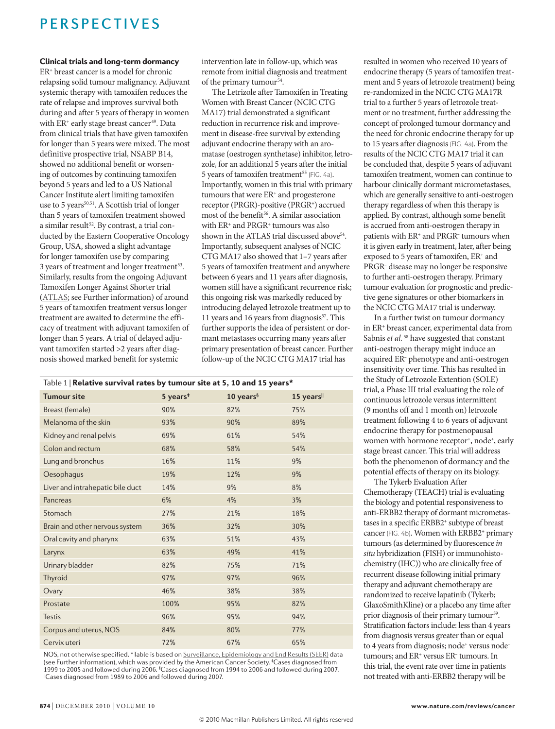### Clinical trials and long-term dormancy

Er+ breast cancer is a model for chronic relapsing solid tumour malignancy. Adjuvant systemic therapy with tamoxifen reduces the rate of relapse and improves survival both during and after 5 years of therapy in women with ER<sup>+</sup> early stage breast cancer<sup>49</sup>. Data from clinical trials that have given tamoxifen for longer than 5 years were mixed. The most definitive prospective trial, NSABP B14, showed no additional benefit or worsening of outcomes by continuing tamoxifen beyond 5 years and led to a US National Cancer Institute alert limiting tamoxifen use to 5 years<sup>50,51</sup>. A Scottish trial of longer than 5 years of tamoxifen treatment showed a similar result<sup>52</sup>. By contrast, a trial conducted by the Eastern Cooperative Oncology Group, USA, showed a slight advantage for longer tamoxifen use by comparing 3 years of treatment and longer treatment<sup>53</sup>. Similarly, results from the ongoing Adjuvant Tamoxifen Longer Against Shorter trial ([aTLaS;](http://www.ctsu.ox.ac.uk/~atlas/) see Further information) of around 5 years of tamoxifen treatment versus longer treatment are awaited to determine the efficacy of treatment with adjuvant tamoxifen of longer than 5 years. A trial of delayed adjuvant tamoxifen started >2 years after diagnosis showed marked benefit for systemic

intervention late in follow-up, which was remote from initial diagnosis and treatment of the primary tumour<sup>54</sup>.

The Letrizole after Tamoxifen in Treating Women with breast Cancer (NCIC CTG Ma17) trial demonstrated a significant reduction in recurrence risk and improvement in disease-free survival by extending adjuvant endocrine therapy with an aromatase (oestrogen synthetase) inhibitor, letrozole, for an additional 5 years after the initial 5 years of tamoxifen treatment<sup>55</sup> (FIG. 4a). Importantly, women in this trial with primary tumours that were ER<sup>+</sup> and progesterone receptor (PRGR)-positive (PRGR+) accrued most of the benefit 56. a similar association with ER<sup>+</sup> and PRGR<sup>+</sup> tumours was also shown in the ATLAS trial discussed above<sup>54</sup>. Importantly, subsequent analyses of NCIC CTG Ma17 also showed that 1–7 years after 5 years of tamoxifen treatment and anywhere between 6 years and 11 years after diagnosis, women still have a significant recurrence risk; this ongoing risk was markedly reduced by introducing delayed letrozole treatment up to 11 years and 16 years from diagnosis<sup>57</sup>. This further supports the idea of persistent or dormant metastases occurring many years after primary presentation of breast cancer. Further follow-up of the NCIC CTG MA17 trial has

### Table 1 | Relative survival rates by tumour site at 5, 10 and 15 years\*

| <b>Tumour site</b>               | 5 years $†$ | 10 years $§$ | 15 years |
|----------------------------------|-------------|--------------|----------|
| Breast (female)                  | 90%         | 82%          | 75%      |
| Melanoma of the skin             | 93%         | 90%          | 89%      |
| Kidney and renal pelvis          | 69%         | 61%          | 54%      |
| Colon and rectum                 | 68%         | 58%          | 54%      |
| Lung and bronchus                | 16%         | 11%          | 9%       |
| Oesophagus                       | 19%         | 12%          | 9%       |
| Liver and intrahepatic bile duct | 14%         | 9%           | 8%       |
| Pancreas                         | 6%          | 4%           | 3%       |
| Stomach                          | 27%         | 21%          | 18%      |
| Brain and other nervous system   | 36%         | 32%          | 30%      |
| Oral cavity and pharynx          | 63%         | 51%          | 43%      |
| Larynx                           | 63%         | 49%          | 41%      |
| Urinary bladder                  | 82%         | 75%          | 71%      |
| <b>Thyroid</b>                   | 97%         | 97%          | 96%      |
| Ovary                            | 46%         | 38%          | 38%      |
| Prostate                         | 100%        | 95%          | 82%      |
| <b>Testis</b>                    | 96%         | 95%          | 94%      |
| Corpus and uterus, NOS           | 84%         | 80%          | 77%      |
| Cervix uteri                     | 72%         | 67%          | 65%      |

NOS, not otherwise specified. \*Table is based on Surveillance, Epidemiology and End Results (SEER) data (see Further information), which was provided by the American Cancer Society. ‡Cases diagnosed from<br>1999 to 2005 and followed during 2006. <sup>§</sup>Cases diagnosed from 1994 to 2006 and followed during 2007.<br><sup>∥</sup>Cases diagnosed f

resulted in women who received 10 years of endocrine therapy (5 years of tamoxifen treatment and 5 years of letrozole treatment) being re-randomized in the NCIC CTG MA17R trial to a further 5 years of letrozole treatment or no treatment, further addressing the concept of prolonged tumour dormancy and the need for chronic endocrine therapy for up to 15 years after diagnosis (FIG. 4a). From the results of the NCIC CTG Ma17 trial it can be concluded that, despite 5 years of adjuvant tamoxifen treatment, women can continue to harbour clinically dormant micrometastases, which are generally sensitive to anti-oestrogen therapy regardless of when this therapy is applied. by contrast, although some benefit is accrued from anti-oestrogen therapy in patients with ER<sup>+</sup> and PRGR<sup>-</sup> tumours when it is given early in treatment, later, after being exposed to 5 years of tamoxifen, ER<sup>+</sup> and PRGR<sup>-</sup> disease may no longer be responsive to further anti-oestrogen therapy. Primary tumour evaluation for prognostic and predictive gene signatures or other biomarkers in the NCIC CTG Ma17 trial is underway.

In a further twist on tumour dormancy in ER<sup>+</sup> breast cancer, experimental data from Sabnis *et al.* 58 have suggested that constant anti-oestrogen therapy might induce an acquired ER<sup>-</sup> phenotype and anti-oestrogen insensitivity over time. This has resulted in the Study of Letrozole Extention (SOLE) trial, a Phase III trial evaluating the role of continuous letrozole versus intermittent (9 months off and 1 month on) letrozole treatment following 4 to 6 years of adjuvant endocrine therapy for postmenopausal women with hormone receptor<sup>+</sup>, node<sup>+</sup>, early stage breast cancer. This trial will address both the phenomenon of dormancy and the potential effects of therapy on its biology.

The Tykerb Evaluation after Chemotherapy (TEaCH) trial is evaluating the biology and potential responsiveness to anti-ERBB2 therapy of dormant micrometastases in a specific ERBB2<sup>+</sup> subtype of breast cancer (FIG. 4b). Women with ERBB2<sup>+</sup> primary tumours (as determined by fluorescence *in situ* hybridization (FISH) or immunohistochemistry (IHC)) who are clinically free of recurrent disease following initial primary therapy and adjuvant chemotherapy are randomized to receive lapatinib (Tykerb; GlaxoSmithKline) or a placebo any time after prior diagnosis of their primary tumour<sup>59</sup>. Stratification factors include: less than 4 years from diagnosis versus greater than or equal to 4 years from diagnosis; node<sup>+</sup> versus node<sup>-</sup> tumours; and ER<sup>+</sup> versus ER<sup>-</sup> tumours. In this trial, the event rate over time in patients not treated with anti-ERBB2 therapy will be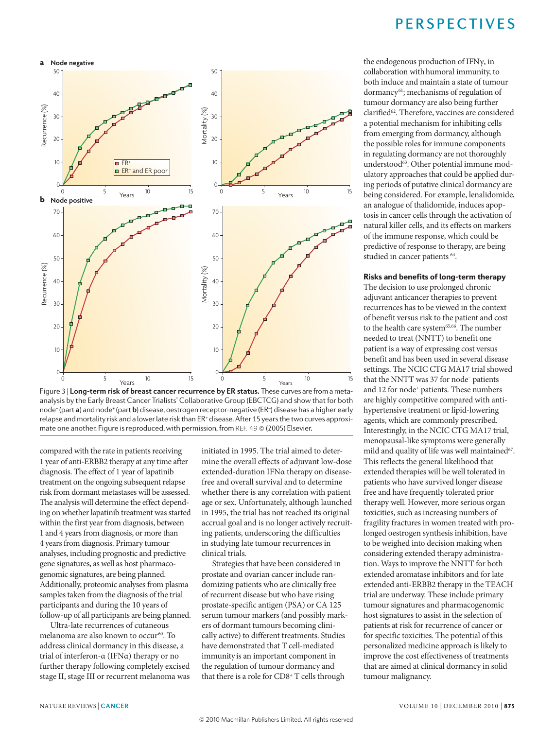



**Nature Reviews** | **Cancer** mate one another. Figure is reproduced, with permission, from ReF. 49 © (2005) elsevier. Figure 3 | Long-term risk of breast cancer recurrence by ER status. These curves are from a metaanalysis by the Early Breast Cancer Trialists' Collaborative Group (EBCTCG) and show that for both node<sup>-</sup> (part **a**) and node<sup>+</sup> (part **b**) disease, oestrogen receptor-negative (ER<sup>-</sup>) disease has a higher early relapse and mortality risk and a lower late risk than ER+ disease. After 15 years the two curves approxi-

compared with the rate in patients receiving 1 year of anti-ERBB2 therapy at any time after diagnosis. The effect of 1 year of lapatinib treatment on the ongoing subsequent relapse risk from dormant metastases will be assessed. The analysis will determine the effect depending on whether lapatinib treatment was started within the first year from diagnosis, between 1 and 4 years from diagnosis, or more than 4 years from diagnosis. Primary tumour analyses, including prognostic and predictive gene signatures, as well as host pharmacogenomic signatures, are being planned. additionally, proteomic analyses from plasma samples taken from the diagnosis of the trial participants and during the 10 years of follow-up of all participants are being planned.

Ultra-late recurrences of cutaneous melanoma are also known to occur<sup>60</sup>. To address clinical dormancy in this disease, a trial of interferon-α (IFNα) therapy or no further therapy following completely excised stage II, stage III or recurrent melanoma was initiated in 1995. The trial aimed to determine the overall effects of adjuvant low-dose extended-duration IFNα therapy on diseasefree and overall survival and to determine whether there is any correlation with patient age or sex. Unfortunately, although launched in 1995, the trial has not reached its original accrual goal and is no longer actively recruiting patients, underscoring the difficulties in studying late tumour recurrences in clinical trials.

Strategies that have been considered in prostate and ovarian cancer include randomizing patients who are clinically free of recurrent disease but who have rising prostate-specific antigen (PSA) or CA 125 serum tumour markers (and possibly markers of dormant tumours becoming clinically active) to different treatments. Studies have demonstrated that T cell-mediated immunityis an important component in the regulation of tumour dormancy and that there is a role for  $CD8$ <sup>+</sup> T cells through

the endogenous production of IFNγ, in collaboration withhumoral immunity, to both induce and maintain a state of tumour dormancy<sup>61</sup>; mechanisms of regulation of tumour dormancy are also being further clarified62. Therefore, vaccines are considered a potential mechanism for inhibiting cells from emerging from dormancy, although the possible roles for immune components in regulating dormancy are not thoroughly understood<sup>63</sup>. Other potential immune modulatory approaches that could be applied during periods of putative clinical dormancy are being considered. For example, lenalidomide, an analogue of thalidomide, induces apoptosis in cancer cells through the activation of natural killer cells, and its effects on markers of the immune response, which could be predictive of response to therapy, are being studied in cancer patients 64.

#### Risks and benefits of long-term therapy

The decision to use prolonged chronic adjuvant anticancer therapies to prevent recurrences has to be viewed in the context of benefit versus risk to the patient and cost to the health care system<sup>65,66</sup>. The number needed to treat (NNTT) to benefit one patient is a way of expressing cost versus benefit and has been used in several disease settings. The NCIC CTG MA17 trial showed that the NNTT was 37 for node– patients and 12 for node+ patients. These numbers are highly competitive compared with antihypertensive treatment or lipid-lowering agents, which are commonly prescribed. Interestingly, in the NCIC CTG Ma17 trial, menopausal-like symptoms were generally mild and quality of life was well maintained<sup>67</sup>. This reflects the general likelihood that extended therapies will be well tolerated in patients who have survived longer disease free and have frequently tolerated prior therapy well. However, more serious organ toxicities, such as increasing numbers of fragility fractures in women treated with prolonged oestrogen synthesis inhibition, have to be weighed into decision making when considering extended therapy administration. Ways to improve the NNTT for both extended aromatase inhibitors and for late extended anti-ERBB2 therapy in the TEACH trial are underway. These include primary tumour signatures and pharmacogenomic host signatures to assist in the selection of patients at risk for recurrence of cancer or for specific toxicities. The potential of this personalized medicine approach is likely to improve the cost effectiveness of treatments that are aimed at clinical dormancy in solid tumour malignancy.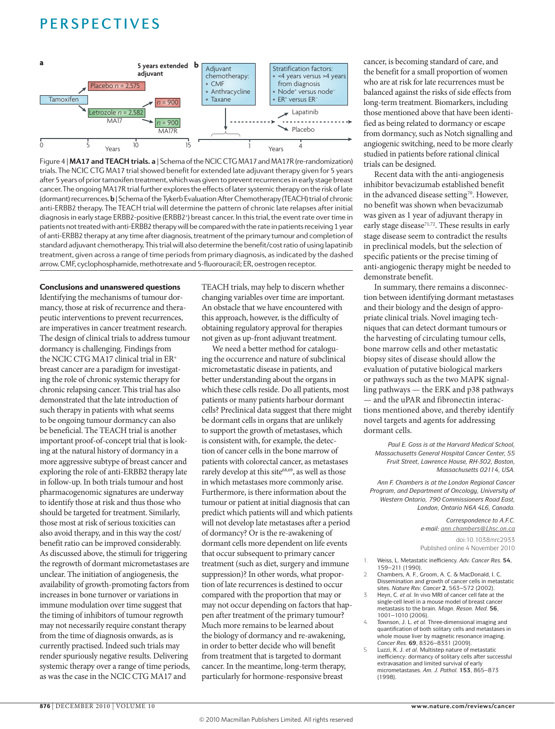

trials. The NCIC CTG MA17 trial showed benefit for extended late adjuvant therapy given for 5 years Figure 4 | **Ma17 and TeaCH trials. a** | schema of the NciccTG MA17 and MA17r (re-randomization) after 5years of prior tamoxifen treatment, which was given to prevent recurrences in early stage breast cancer. The ongoing MA17R trial further explores the effects of later systemic therapy on the risk of late (dormant) recurrences. **b** | Schema of the Tykerb Evaluation After Chemotherapy (TEACH) trial of chronic anti-ERBB2 therapy. The TEACH trial will determine the pattern of chronic late relapses after initial diagnosis in early stage ERBB2-positive (ERBB2+) breast cancer. In this trial, the event rate over time in patients not treated with anti-ERBB2 therapy will be compared with the rate in patients receiving 1 year of anti-erBB2 therapy at any time after diagnosis, treatment of the primary tumour and completion of standard adjuvant chemotherapy. This trial will also determine the benefit/cost ratio of using lapatinib treatment, given across a range of time periods from primary diagnosis, as indicated by the dashed arrow. cMF, cyclophosphamide, methotrexate and 5-fluorouracil; er, oestrogen receptor.

### Conclusions and unanswered questions

Identifying the mechanisms of tumour dormancy, those at risk of recurrence and therapeutic interventions to prevent recurrences, are imperatives in cancer treatment research. The design of clinical trials to address tumour dormancy is challenging. Findings from the NCIC CTG MA17 clinical trial in ER<sup>+</sup> breast cancer are a paradigm for investigating the role of chronic systemic therapy for chronic relapsing cancer. This trial has also demonstrated that the late introduction of such therapy in patients with what seems to be ongoing tumour dormancy can also be beneficial. The TEaCH trial is another important proof-of-concept trial that is looking at the natural history of dormancy in a more aggressive subtype of breast cancer and exploring the role of anti-ERBB2 therapy late in follow-up. In both trials tumour and host pharmacogenomic signatures are underway to identify those at risk and thus those who should be targeted for treatment. Similarly, those most at risk of serious toxicities can also avoid therapy, and in this way the cost/ benefit ratio can be improved considerably. as discussed above, the stimuli for triggering the regrowth of dormant micrometastases are unclear. The initiation of angiogenesis, the availability of growth-promoting factors from increases in bone turnover or variations in immune modulation over time suggest that the timing of inhibitors of tumour regrowth may not necessarily require constant therapy from the time of diagnosis onwards, as is currently practised. Indeed such trials may render spuriously negative results. Delivering systemic therapy over a range of time periods, as was the case in the NCIC CTG Ma17 and

TEaCH trials, may help to discern whether changing variables over time are important. an obstacle that we have encountered with this approach, however, is the difficulty of obtaining regulatory approval for therapies not given as up-front adjuvant treatment.

We need a better method for cataloguing the occurrence and nature of subclinical micrometastatic disease in patients, and better understanding about the organs in which these cells reside. Do all patients, most patients or many patients harbour dormant cells? Preclinical data suggest that there might be dormant cells in organs that are unlikely to support the growth of metastases, which is consistent with, for example, the detection of cancer cells in the bone marrow of patients with colorectal cancer, as metastases rarely develop at this site<sup>68,69</sup>, as well as those in which metastases more commonly arise. Furthermore, is there information about the tumour or patient at initial diagnosis that can predict which patients will and which patients will not develop late metastases after a period of dormancy? Or is the re-awakening of dormant cells more dependent on life events that occur subsequent to primary cancer treatment (such as diet, surgery and immune suppression)? In other words, what proportion of late recurrences is destined to occur compared with the proportion that may or may not occur depending on factors that happen after treatment of the primary tumour? Much more remains to be learned about the biology of dormancy and re-awakening, in order to better decide who will benefit from treatment that is targeted to dormant cancer. In the meantime, long-term therapy, particularly for hormone-responsive breast

cancer, is becoming standard of care, and the benefit for a small proportion of women who are at risk for late recurrences must be balanced against the risks of side effects from long-term treatment. Biomarkers, including those mentioned above that have been identified as being related to dormancy or escape from dormancy, such as Notch signalling and angiogenic switching, need to be more clearly studied in patients before rational clinical trials can be designed.

Recent data with the anti-angiogenesis inhibitor bevacizumab established benefit in the advanced disease setting<sup>70</sup>. However, no benefit was shown when bevacizumab was given as 1 year of adjuvant therapy in early stage disease<sup> $71,72$ </sup>. These results in early stage disease seem to contradict the results in preclinical models, but the selection of specific patients or the precise timing of anti-angiogenic therapy might be needed to demonstrate benefit.

In summary, there remains a disconnection between identifying dormant metastases and their biology and the design of appropriate clinical trials. Novel imaging techniques that can detect dormant tumours or the harvesting of circulating tumour cells, bone marrow cells and other metastatic biopsy sites of disease should allow the evaluation of putative biological markers or pathways such as the two MaPK signalling pathways — the ErK and p38 pathways — and the uPAR and fibronectin interactions mentioned above, and thereby identify novel targets and agents for addressing dormant cells.

*Paul E. Goss is at the Harvard Medical School, Massachusetts General Hospital Cancer Center, 55 Fruit Street, Lawrence House, RH-302, Boston, Massachusetts 02114, USA.*

*Ann F. Chambers is at the London Regional Cancer Program, and Department of Oncology, University of Western Ontario, 790 Commissioners Road East, London, Ontario N6A 4L6, Canada.*

> *Correspondence to A.F.C. e-mail: [ann.chambers@Lhsc.on.ca](mailto:ann.chambers@Lhsc.on.ca )* doi:10.1038/nrc2933 Published online 4 November 2010

- 1. Weiss, L. Metastatic inefficiency. *Adv. Cancer Res.* **54**, 159–211 (1990).
- 2. Chambers, A. F., Groom, A. C. & MacDonald, I. C. Dissemination and growth of cancer cells in metastatic sites. *Nature Rev. Cancer* **2**, 563–572 (2002).
- 3. Heyn, C. *et al.* In vivo MRI of cancer cell fate at the single-cell level in a mouse model of breast cancer metastasis to the brain. *Magn. Reson. Med.* **56**, 1001–1010 (2006).
- 4. Townson, J. L. *et al.* Three-dimensional imaging and quantification of both solitary cells and metastases in whole mouse liver by magnetic resonance imaging. *Cancer Res.* **69**, 8326–8331 (2009).
- 5. Luzzi, K. J. *et al.* Multistep nature of metastatic inefficiency: dormancy of solitary cells after successful extravasation and limited survival of early micrometastases. *Am. J. Pathol.* **153**, 865–873 (1998).